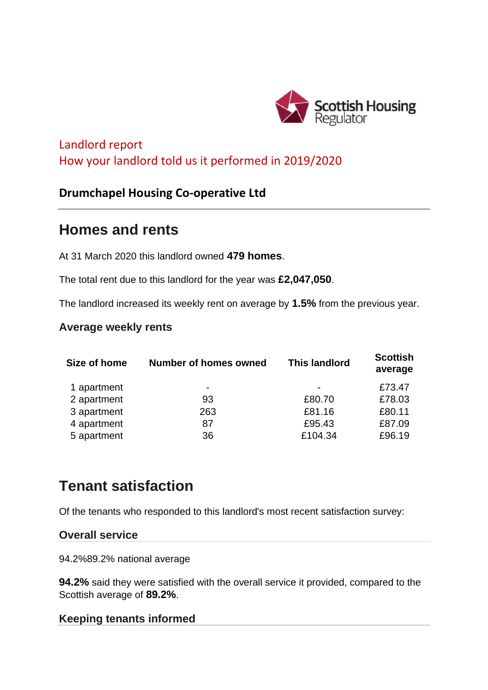

## Landlord report How your landlord told us it performed in 2019/2020

## **Drumchapel Housing Co-operative Ltd**

# **Homes and rents**

At 31 March 2020 this landlord owned **479 homes**.

The total rent due to this landlord for the year was **£2,047,050**.

The landlord increased its weekly rent on average by **1.5%** from the previous year.

## **Average weekly rents**

| <b>Number of homes owned</b> | <b>This landlord</b> | <b>Scottish</b><br>average |
|------------------------------|----------------------|----------------------------|
| $\blacksquare$               | ۰                    | £73.47                     |
| 93                           | £80.70               | £78.03                     |
| 263                          | £81.16               | £80.11                     |
| 87                           | £95.43               | £87.09                     |
| 36                           | £104.34              | £96.19                     |
|                              |                      |                            |

# **Tenant satisfaction**

Of the tenants who responded to this landlord's most recent satisfaction survey:

#### **Overall service**

94.2%89.2% national average

**94.2%** said they were satisfied with the overall service it provided, compared to the Scottish average of **89.2%**.

#### **Keeping tenants informed**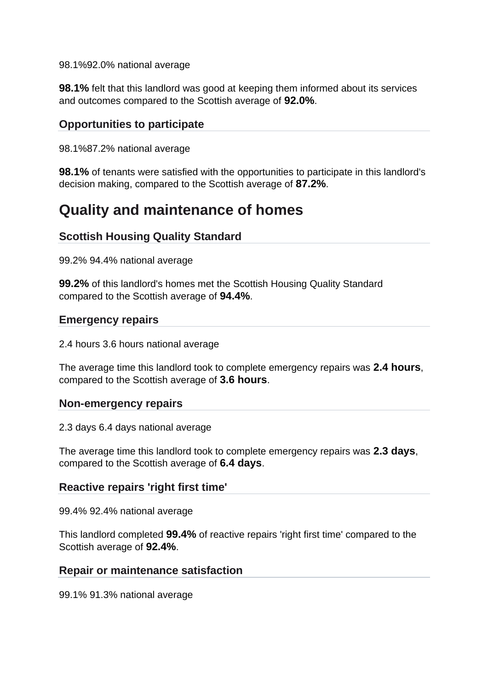98.1%92.0% national average

**98.1%** felt that this landlord was good at keeping them informed about its services and outcomes compared to the Scottish average of **92.0%**.

## **Opportunities to participate**

98.1%87.2% national average

**98.1%** of tenants were satisfied with the opportunities to participate in this landlord's decision making, compared to the Scottish average of **87.2%**.

## **Quality and maintenance of homes**

## **Scottish Housing Quality Standard**

99.2% 94.4% national average

**99.2%** of this landlord's homes met the Scottish Housing Quality Standard compared to the Scottish average of **94.4%**.

#### **Emergency repairs**

2.4 hours 3.6 hours national average

The average time this landlord took to complete emergency repairs was **2.4 hours**, compared to the Scottish average of **3.6 hours**.

#### **Non-emergency repairs**

2.3 days 6.4 days national average

The average time this landlord took to complete emergency repairs was **2.3 days**, compared to the Scottish average of **6.4 days**.

#### **Reactive repairs 'right first time'**

99.4% 92.4% national average

This landlord completed **99.4%** of reactive repairs 'right first time' compared to the Scottish average of **92.4%**.

#### **Repair or maintenance satisfaction**

99.1% 91.3% national average